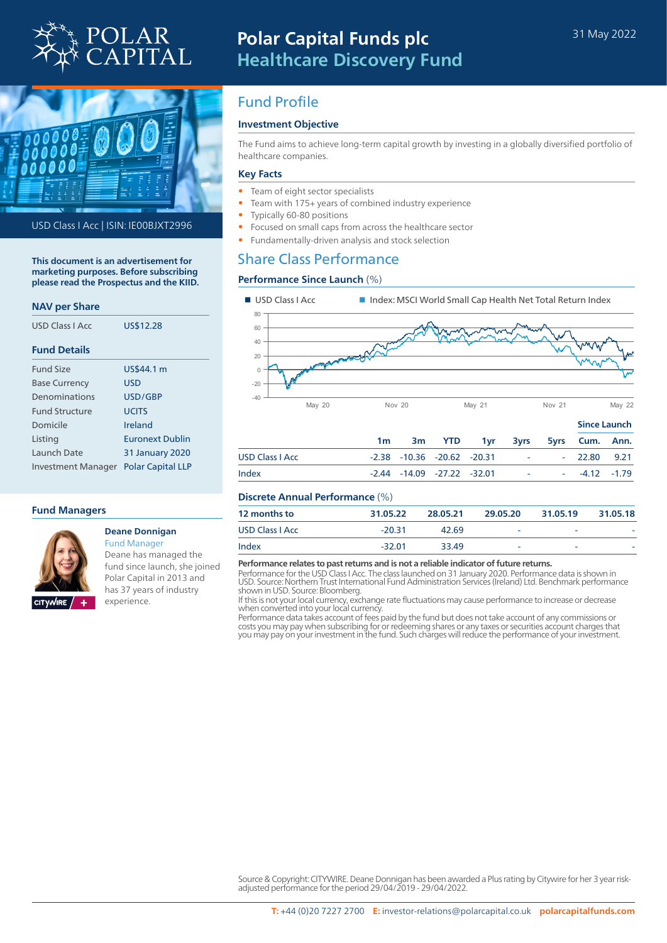



USD Class I Acc | ISIN: IE00BJXT2996

**This document is an advertisement for marketing purposes. Before subscribing please read the Prospectus and the KIID.**

#### **NAV per Share**

| USD Class LAcc        | US\$12.28                |
|-----------------------|--------------------------|
| <b>Fund Details</b>   |                          |
| <b>Fund Size</b>      | US\$44.1 m               |
| <b>Base Currency</b>  | USD                      |
| Denominations         | USD/GBP                  |
| <b>Fund Structure</b> | <b>UCITS</b>             |
| Domicile              | Ireland                  |
| Listing               | <b>Furonext Dublin</b>   |
| Launch Date           | <b>31 January 2020</b>   |
| Investment Manager    | <b>Polar Capital LLP</b> |

#### **Fund Managers**



#### **Deane Donnigan** Fund Manager

Deane has managed the fund since launch, she joined Polar Capital in 2013 and has 37 years of industry experience.

# Fund Profile

## **Investment Objective**

The Fund aims to achieve long-term capital growth by investing in a globally diversified portfolio of healthcare companies.

#### **Key Facts**

- Team of eight sector specialists
- Team with 175+ years of combined industry experience
- Typically 60-80 positions
- Focused on small caps from across the healthcare sector
- Fundamentally-driven analysis and stock selection

# Share Class Performance

### **Performance Since Launch** (%)



|                        |    |  |                                    | 3m YTD 1yr 3yrs 5yrs Cum. Ann. |                         | $-11122 101011211$ |  |
|------------------------|----|--|------------------------------------|--------------------------------|-------------------------|--------------------|--|
|                        | 1m |  |                                    |                                |                         |                    |  |
| <b>USD Class I Acc</b> |    |  | $-2.38$ $-10.36$ $-20.62$ $-20.31$ |                                |                         | $-22.80$ 9.21      |  |
| Index                  |    |  | $-2.44$ $-14.09$ $-27.22$ $-32.01$ |                                | <b>Carl Corporation</b> | $-4.12 -1.79$      |  |
|                        |    |  |                                    |                                |                         |                    |  |

### **Discrete Annual Performance** (%)

| 12 months to            | 31.05.22 | 28.05.21 | 29.05.20                 | 31.05.19 | 31.05.18 |
|-------------------------|----------|----------|--------------------------|----------|----------|
| <b>USD Class I Acc.</b> | $-20.31$ | 42.69    | $\overline{\phantom{a}}$ | -        | -        |
| Index                   | $-32.01$ | 33.49    | $\overline{\phantom{a}}$ | -        | -        |

#### **Performance relates to past returns and is not a reliable indicator of future returns.**

Performance for the USD Class I Acc. The class launched on 31 January 2020. Performance data is shown in USD. Source: Northern Trust International Fund Administration Services (Ireland) Ltd. Benchmark performance shown in USD. Source: Bloomberg.

If this is not your local currency, exchange rate fluctuations may cause performance to increase or decrease when converted into your local currency

Performance data takes account of fees paid by the fund but does not take account of any commissions or costs you may pay when subscribing for or redeeming shares or any taxes or securities account charges that you may pay on your investment in the fund. Such charges will reduce the performance of your investment.

Source & Copyright: CITYWIRE. Deane Donnigan has been awarded a Plus rating by Citywire for her 3 year riskadjusted performance for the period 29/04/2019 - 29/04/2022.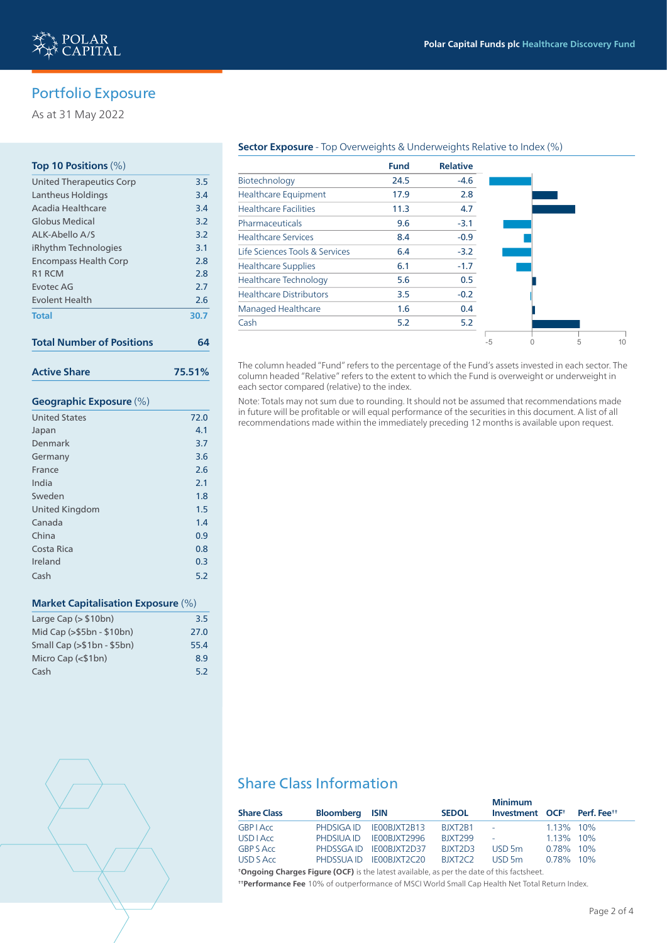

# Portfolio Exposure

As at 31 May 2022

## **Top 10 Positions** (%)

| <b>United Therapeutics Corp</b>  | 3.5  |
|----------------------------------|------|
| Lantheus Holdings                | 3.4  |
| Acadia Healthcare                | 3.4  |
| Globus Medical                   | 3.2  |
| ALK-Abello A/S                   | 3.2  |
| iRhythm Technologies             | 3.1  |
| <b>Encompass Health Corp</b>     | 2.8  |
| R <sub>1</sub> R <sub>CM</sub>   | 2.8  |
| <b>Fvoter AG</b>                 | 2.7  |
| <b>Fyolent Health</b>            | 2.6  |
| <b>Total</b>                     | 30.7 |
| <b>Total Number of Positions</b> |      |

**Active Share 75.51%**

### **Geographic Exposure** (%)

| <b>United States</b>  | 72.0 |
|-----------------------|------|
| Japan                 | 4.1  |
| Denmark               | 3.7  |
| Germany               | 3.6  |
| France                | 2.6  |
| India                 | 2.1  |
| Sweden                | 1.8  |
| <b>United Kingdom</b> | 1.5  |
| Canada                | 1.4  |
| China                 | 0.9  |
| Costa Rica            | 0.8  |
| Ireland               | 0.3  |
| Cash                  | 5.2  |

#### **Market Capitalisation Exposure** (%)

| Large Cap $($ $>$10bn)$     | 3.5  |
|-----------------------------|------|
| Mid Cap (>\$5bn - \$10bn)   | 27.0 |
| Small Cap $(>\$1bn - $5bn)$ | 55.4 |
| Micro Cap $($1bn)$          | 8.9  |
| Cash                        | 5.2  |



#### **Sector Exposure** - Top Overweights & Underweights Relative to Index (%)

|                                | <b>Fund</b> | <b>Relative</b> |
|--------------------------------|-------------|-----------------|
| Biotechnology                  | 24.5        | $-4.6$          |
| <b>Healthcare Equipment</b>    | 17.9        | 2.8             |
| <b>Healthcare Facilities</b>   | 11.3        | 4.7             |
| Pharmaceuticals                | 9.6         | $-3.1$          |
| <b>Healthcare Services</b>     | 8.4         | $-0.9$          |
| Life Sciences Tools & Services | 6.4         | $-3.2$          |
| <b>Healthcare Supplies</b>     | 6.1         | $-1.7$          |
| <b>Healthcare Technology</b>   | 5.6         | 0.5             |
| <b>Healthcare Distributors</b> | 3.5         | $-0.2$          |
| <b>Managed Healthcare</b>      | 1.6         | 0.4             |
| Cash                           | 5.2         | 5.2             |
|                                |             |                 |

The column headed "Fund" refers to the percentage of the Fund's assets invested in each sector. The column headed "Relative" refers to the extent to which the Fund is overweight or underweight in each sector compared (relative) to the index.

Note: Totals may not sum due to rounding. It should not be assumed that recommendations made in future will be profitable or will equal performance of the securities in this document. A list of all recommendations made within the immediately preceding 12 months is available upon request.

# Share Class Information

| <b>Share Class</b>                                                                                                   | <b>Bloomberg ISIN</b> |                         | <b>SEDOL</b>                     | <b>Minimum</b><br>Investment OCF <sup>+</sup> Perf. Fee <sup>++</sup> |              |  |
|----------------------------------------------------------------------------------------------------------------------|-----------------------|-------------------------|----------------------------------|-----------------------------------------------------------------------|--------------|--|
| <b>GBP</b> LACC                                                                                                      |                       | PHDSIGA ID IE00BJXT2B13 | BJXT2B1                          | <b>Service</b>                                                        | 1.13% 10%    |  |
| <b>USD</b> LAcc                                                                                                      |                       | PHDSIUA ID IE00BJXT2996 | <b>BJXT299</b>                   | $\sim$                                                                | 1.13% 10%    |  |
| <b>GBP S Acc</b>                                                                                                     |                       | PHDSSGAID IE00BJXT2D37  | BIXT2D3                          | $USD$ 5m                                                              | $0.78\%$ 10% |  |
| USD S Acc                                                                                                            |                       | PHDSSUA ID IE00BJXT2C20 | BJXT <sub>2</sub> C <sub>2</sub> | $USD$ 5m                                                              | $0.78\%$ 10% |  |
| <b>Home and the Channels Electron (OCE)</b> to the Internet continuity and continuing and the following continuation |                       |                         |                                  |                                                                       |              |  |

**† Ongoing Charges Figure (OCF)** is the latest available, as per the date of this factsheet. **† † Performance Fee** 10% of outperformance of MSCI World Small Cap Health Net Total Return Index.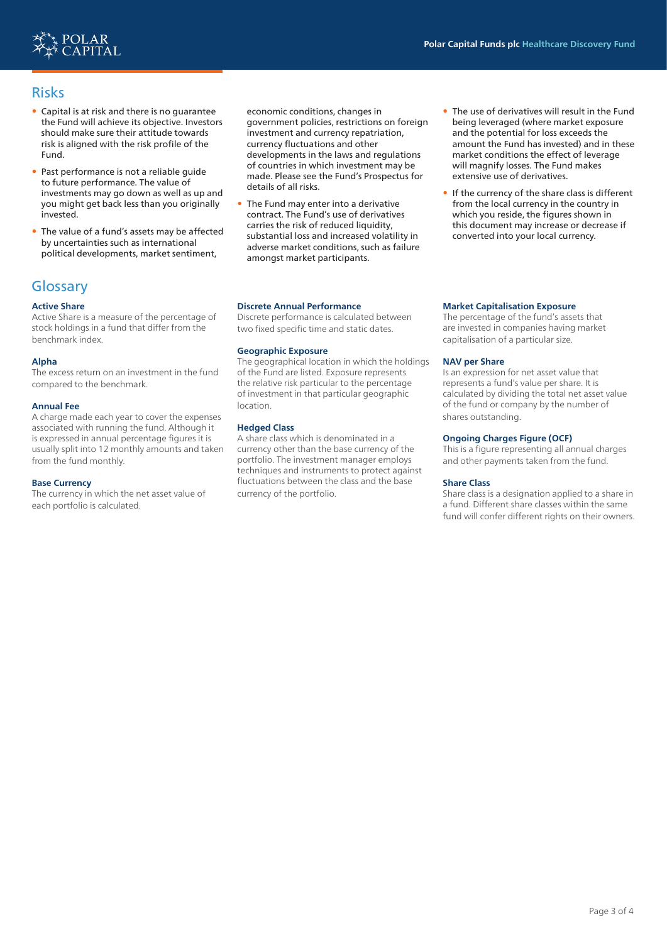

# Risks

- Capital is at risk and there is no guarantee the Fund will achieve its objective. Investors should make sure their attitude towards risk is aligned with the risk profile of the Fund.
- Past performance is not a reliable guide to future performance. The value of investments may go down as well as up and you might get back less than you originally invested.
- The value of a fund's assets may be affected by uncertainties such as international political developments, market sentiment,

# **Glossary**

### **Active Share**

Active Share is a measure of the percentage of stock holdings in a fund that differ from the benchmark index.

### **Alpha**

The excess return on an investment in the fund compared to the benchmark.

#### **Annual Fee**

A charge made each year to cover the expenses associated with running the fund. Although it is expressed in annual percentage figures it is usually split into 12 monthly amounts and taken from the fund monthly.

#### **Base Currency**

The currency in which the net asset value of each portfolio is calculated.

economic conditions, changes in government policies, restrictions on foreign investment and currency repatriation, currency fluctuations and other developments in the laws and regulations of countries in which investment may be made. Please see the Fund's Prospectus for details of all risks.

• The Fund may enter into a derivative contract. The Fund's use of derivatives carries the risk of reduced liquidity, substantial loss and increased volatility in adverse market conditions, such as failure amongst market participants.

#### **Discrete Annual Performance**

Discrete performance is calculated between two fixed specific time and static dates.

#### **Geographic Exposure**

The geographical location in which the holdings of the Fund are listed. Exposure represents the relative risk particular to the percentage of investment in that particular geographic location.

#### **Hedged Class**

A share class which is denominated in a currency other than the base currency of the portfolio. The investment manager employs techniques and instruments to protect against fluctuations between the class and the base currency of the portfolio.

- The use of derivatives will result in the Fund being leveraged (where market exposure and the potential for loss exceeds the amount the Fund has invested) and in these market conditions the effect of leverage will magnify losses. The Fund makes extensive use of derivatives.
- If the currency of the share class is different from the local currency in the country in which you reside, the figures shown in this document may increase or decrease if converted into your local currency.

#### **Market Capitalisation Exposure**

The percentage of the fund's assets that are invested in companies having market capitalisation of a particular size.

#### **NAV per Share**

Is an expression for net asset value that represents a fund's value per share. It is calculated by dividing the total net asset value of the fund or company by the number of shares outstanding.

#### **Ongoing Charges Figure (OCF)**

This is a figure representing all annual charges and other payments taken from the fund.

#### **Share Class**

Share class is a designation applied to a share in a fund. Different share classes within the same fund will confer different rights on their owners.